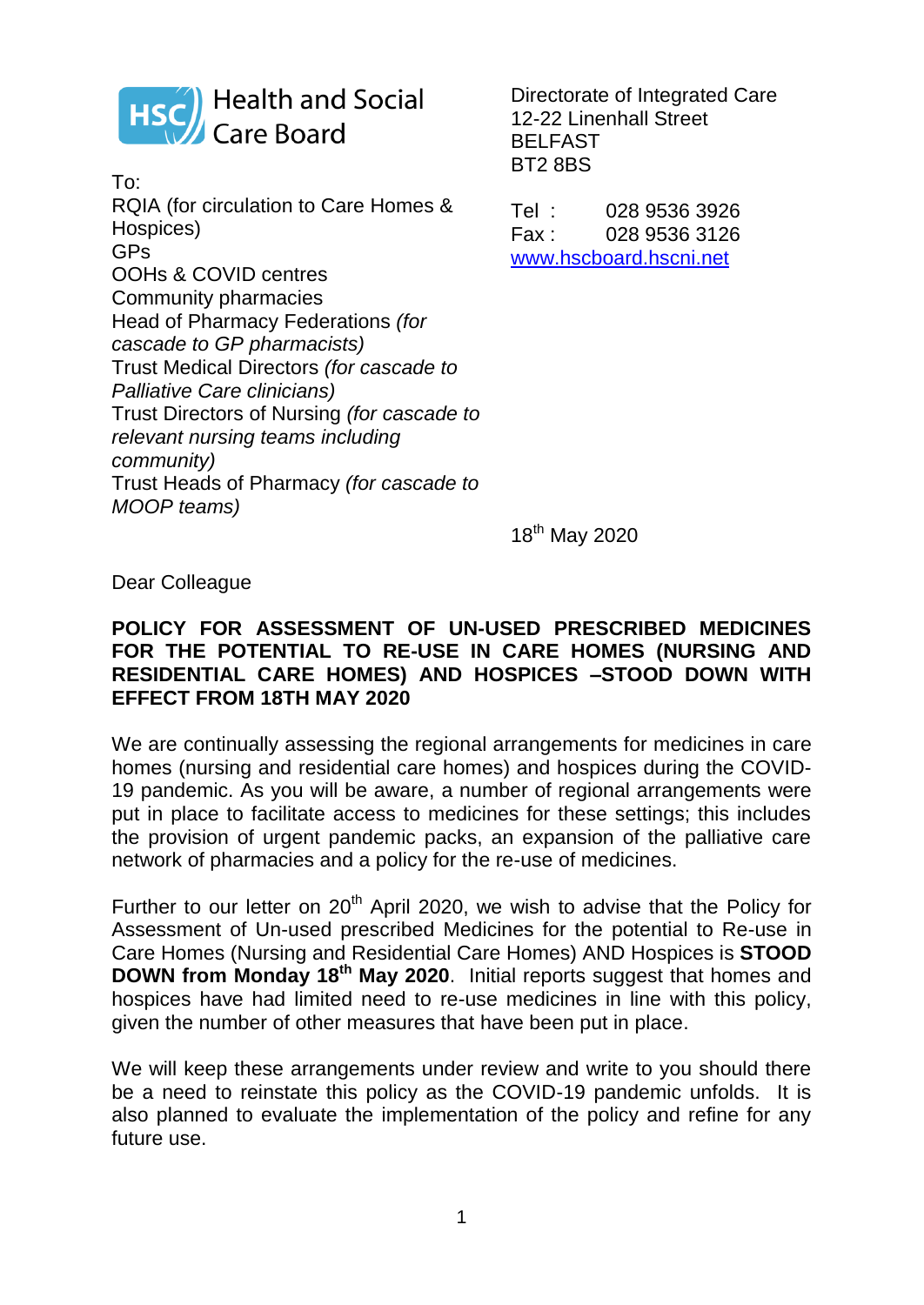

To: RQIA (for circulation to Care Homes & Hospices) GPs OOHs & COVID centres Community pharmacies Head of Pharmacy Federations *(for cascade to GP pharmacists)*  Trust Medical Directors *(for cascade to Palliative Care clinicians)* Trust Directors of Nursing *(for cascade to relevant nursing teams including community)*  Trust Heads of Pharmacy *(for cascade to MOOP teams)*

Directorate of Integrated Care 12-22 Linenhall Street BELFAST BT2 8BS

Tel : 028 9536 3926 Fax : 028 9536 3126 [www.hscboard.hscni.net](http://www.hscboard.hscni.net/)

18<sup>th</sup> May 2020

Dear Colleague

#### **POLICY FOR ASSESSMENT OF UN-USED PRESCRIBED MEDICINES FOR THE POTENTIAL TO RE-USE IN CARE HOMES (NURSING AND RESIDENTIAL CARE HOMES) AND HOSPICES –STOOD DOWN WITH EFFECT FROM 18TH MAY 2020**

We are continually assessing the regional arrangements for medicines in care homes (nursing and residential care homes) and hospices during the COVID-19 pandemic. As you will be aware, a number of regional arrangements were put in place to facilitate access to medicines for these settings; this includes the provision of urgent pandemic packs, an expansion of the palliative care network of pharmacies and a policy for the re-use of medicines.

Further to our letter on  $20<sup>th</sup>$  April 2020, we wish to advise that the Policy for Assessment of Un-used prescribed Medicines for the potential to Re-use in Care Homes (Nursing and Residential Care Homes) AND Hospices is **STOOD DOWN from Monday 18th May 2020**. Initial reports suggest that homes and hospices have had limited need to re-use medicines in line with this policy, given the number of other measures that have been put in place.

We will keep these arrangements under review and write to you should there be a need to reinstate this policy as the COVID-19 pandemic unfolds. It is also planned to evaluate the implementation of the policy and refine for any future use.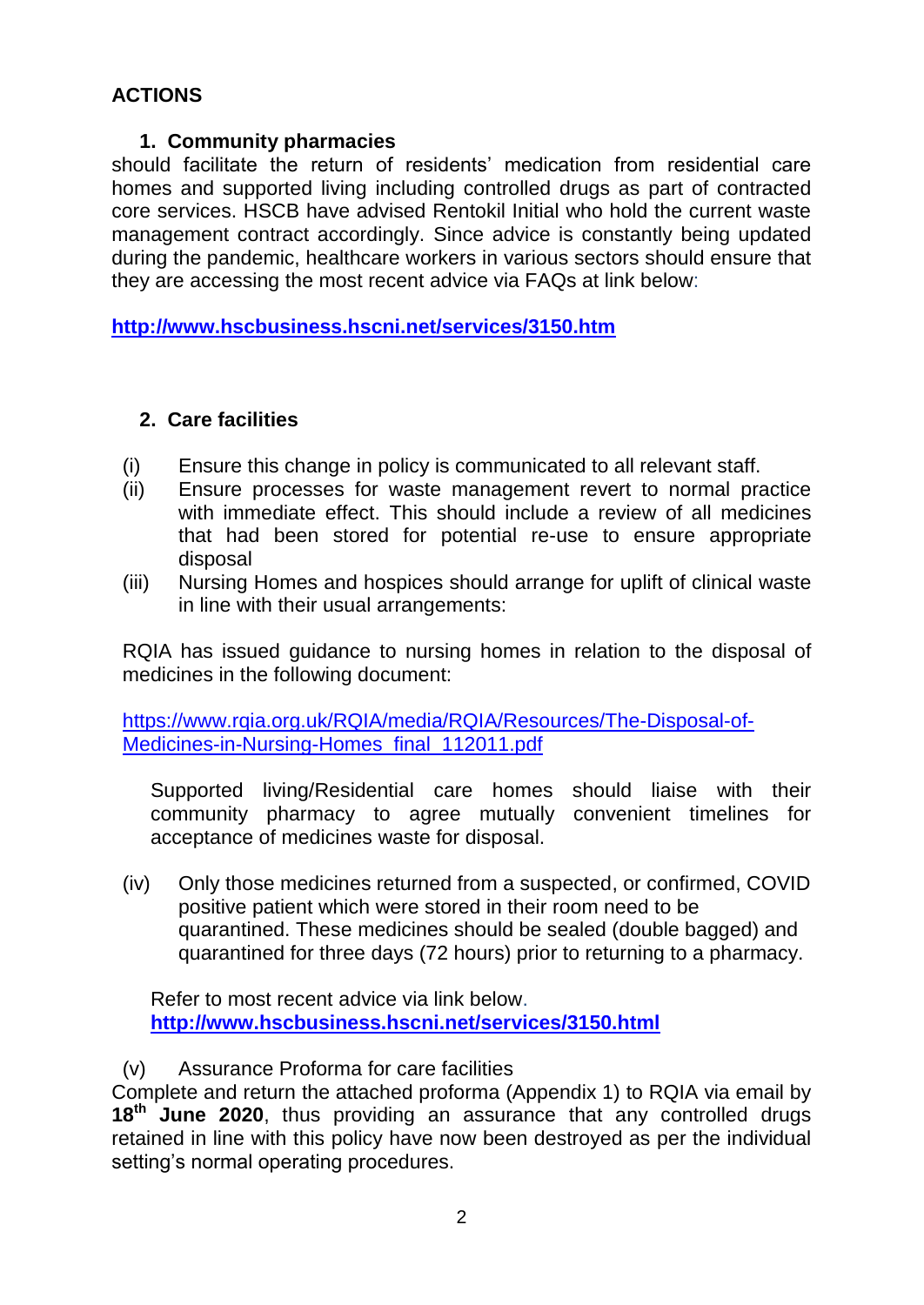# **ACTIONS**

## **1. Community pharmacies**

should facilitate the return of residents' medication from residential care homes and supported living including controlled drugs as part of contracted core services. HSCB have advised Rentokil Initial who hold the current waste management contract accordingly. Since advice is constantly being updated during the pandemic, healthcare workers in various sectors should ensure that they are accessing the most recent advice via FAQs at link below:

**<http://www.hscbusiness.hscni.net/services/3150.htm>**

## **2. Care facilities**

- (i) Ensure this change in policy is communicated to all relevant staff.
- (ii) Ensure processes for waste management revert to normal practice with immediate effect. This should include a review of all medicines that had been stored for potential re-use to ensure appropriate disposal
- (iii) Nursing Homes and hospices should arrange for uplift of clinical waste in line with their usual arrangements:

RQIA has issued guidance to nursing homes in relation to the disposal of medicines in the following document:

[https://www.rqia.org.uk/RQIA/media/RQIA/Resources/The-Disposal-of-](https://www.rqia.org.uk/RQIA/media/RQIA/Resources/The-Disposal-of-Medicines-in-Nursing-Homes_final_112011.pdf)Medicines-in-Nursing-Homes final 112011.pdf

Supported living/Residential care homes should liaise with their community pharmacy to agree mutually convenient timelines for acceptance of medicines waste for disposal.

(iv) Only those medicines returned from a suspected, or confirmed, COVID positive patient which were stored in their room need to be quarantined. These medicines should be sealed (double bagged) and quarantined for three days (72 hours) prior to returning to a pharmacy.

Refer to most recent advice via link below. **<http://www.hscbusiness.hscni.net/services/3150.html>**

## (v) Assurance Proforma for care facilities

Complete and return the attached proforma (Appendix 1) to RQIA via email by **18th June 2020**, thus providing an assurance that any controlled drugs retained in line with this policy have now been destroyed as per the individual setting's normal operating procedures.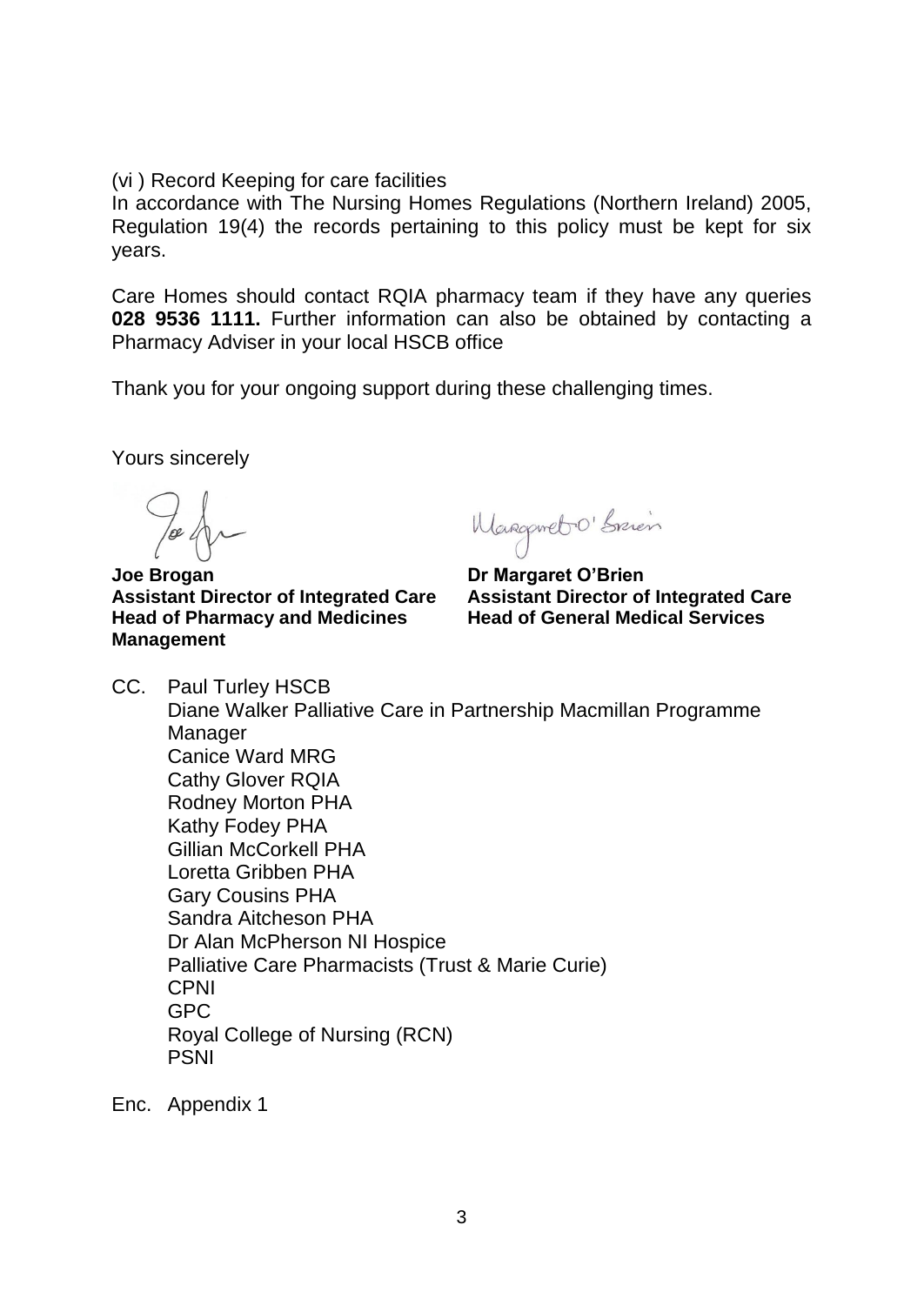(vi ) Record Keeping for care facilities

In accordance with The Nursing Homes Regulations (Northern Ireland) 2005, Regulation 19(4) the records pertaining to this policy must be kept for six years.

Care Homes should contact RQIA pharmacy team if they have any queries **028 9536 1111.** Further information can also be obtained by contacting a Pharmacy Adviser in your local HSCB office

Thank you for your ongoing support during these challenging times.

Yours sincerely

**Joe Brogan Critical Community Community Dr Margaret O'Brien Assistant Director of Integrated Care Assistant Director of Integrated Care Head of Pharmacy and Medicines Management** 

Wangerebo Spien

- CC. Paul Turley HSCB Diane Walker Palliative Care in Partnership Macmillan Programme Manager Canice Ward MRG Cathy Glover RQIA Rodney Morton PHA Kathy Fodey PHA Gillian McCorkell PHA Loretta Gribben PHA Gary Cousins PHA Sandra Aitcheson PHA Dr Alan McPherson NI Hospice Palliative Care Pharmacists (Trust & Marie Curie) CPNI GPC Royal College of Nursing (RCN) PSNI
- Enc. Appendix 1